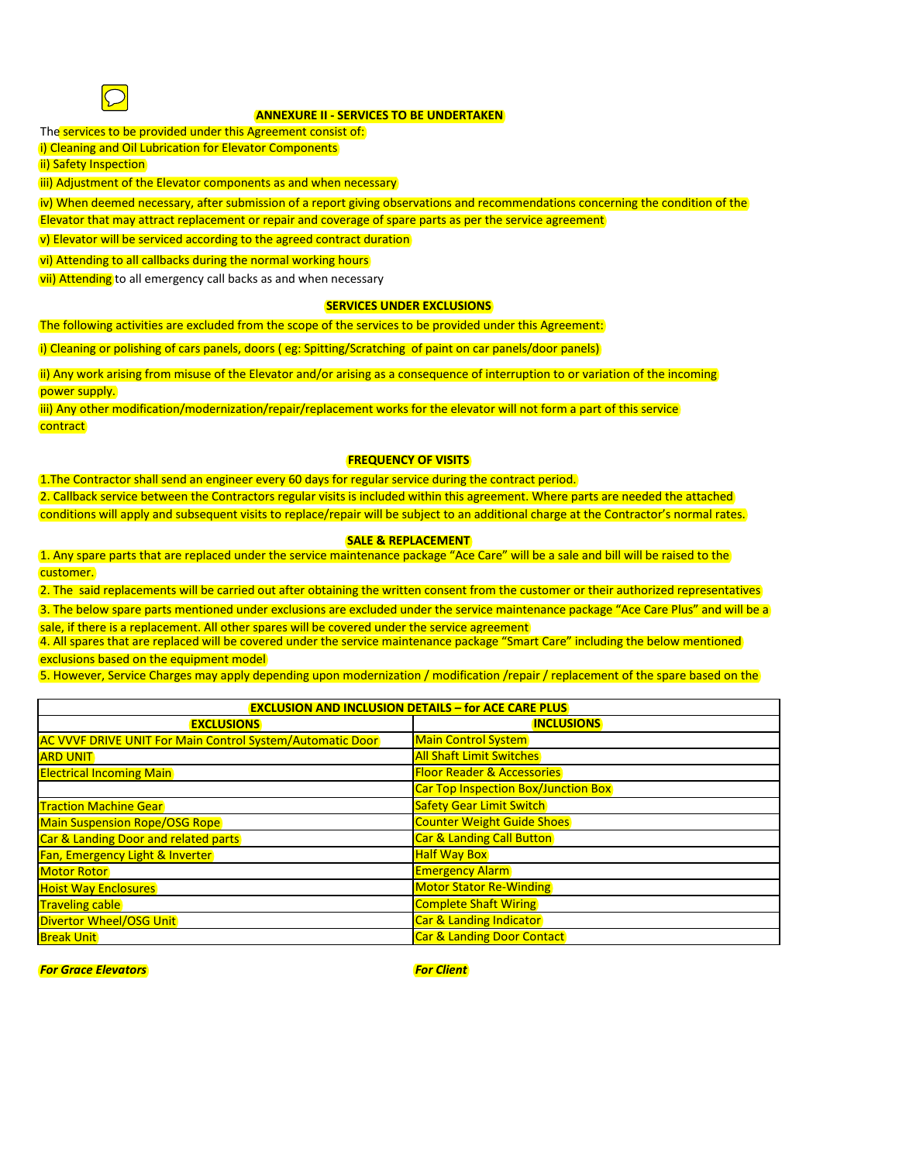

# **ANNEXURE II - SERVICES TO BE UNDERTAKEN**

The services to be provided under this Agreement consist of:

i) Cleaning and Oil Lubrication for Elevator Components

ii) Safety Inspection

iii) Adjustment of the Elevator components as and when necessary

iv) When deemed necessary, after submission of a report giving observations and recommendations concerning the condition of the

Elevator that may attract replacement or repair and coverage of spare parts as per the service agreement

v) Elevator will be serviced according to the agreed contract duration

vi) Attending to all callbacks during the normal working hours

vii) Attending to all emergency call backs as and when necessary

### **SERVICES UNDER EXCLUSIONS**

The following activities are excluded from the scope of the services to be provided under this Agreement:

i) Cleaning or polishing of cars panels, doors ( eg: Spitting/Scratching of paint on car panels/door panels)

ii) Any work arising from misuse of the Elevator and/or arising as a consequence of interruption to or variation of the incoming power supply.

iii) Any other modification/modernization/repair/replacement works for the elevator will not form a part of this service contract

## **FREQUENCY OF VISITS**

1.The Contractor shall send an engineer every 60 days for regular service during the contract period. 2. Callback service between the Contractors regular visits is included within this agreement. Where parts are needed the attached conditions will apply and subsequent visits to replace/repair will be subject to an additional charge at the Contractor's normal rates.

## **SALE & REPLACEMENT**

1. Any spare parts that are replaced under the service maintenance package "Ace Care" will be a sale and bill will be raised to the customer.

2. The said replacements will be carried out after obtaining the written consent from the customer or their authorized representatives

3. The below spare parts mentioned under exclusions are excluded under the service maintenance package "Ace Care Plus" and will be a sale, if there is a replacement. All other spares will be covered under the service agreement

4. All spares that are replaced will be covered under the service maintenance package "Smart Care" including the below mentioned exclusions based on the equipment model

5. However, Service Charges may apply depending upon modernization / modification /repair / replacement of the spare based on the

| <b>EXCLUSION AND INCLUSION DETAILS - for ACE CARE PLUS</b>       |                                            |
|------------------------------------------------------------------|--------------------------------------------|
| <b>EXCLUSIONS</b>                                                | <b>INCLUSIONS</b>                          |
| <b>AC VVVF DRIVE UNIT For Main Control System/Automatic Door</b> | <b>Main Control System</b>                 |
| <b>ARD UNIT</b>                                                  | <b>All Shaft Limit Switches</b>            |
| <b>Electrical Incoming Main</b>                                  | <b>Floor Reader &amp; Accessories</b>      |
|                                                                  | <b>Car Top Inspection Box/Junction Box</b> |
| <b>Traction Machine Gear</b>                                     | <b>Safety Gear Limit Switch</b>            |
| <b>Main Suspension Rope/OSG Rope</b>                             | <b>Counter Weight Guide Shoes</b>          |
| Car & Landing Door and related parts                             | <b>Car &amp; Landing Call Button</b>       |
| Fan, Emergency Light & Inverter                                  | <b>Half Way Box</b>                        |
| <b>Motor Rotor</b>                                               | <b>Emergency Alarm</b>                     |
| <b>Hoist Way Enclosures</b>                                      | <b>Motor Stator Re-Winding</b>             |
| <b>Traveling cable</b>                                           | <b>Complete Shaft Wiring</b>               |
| <b>Divertor Wheel/OSG Unit</b>                                   | <b>Car &amp; Landing Indicator</b>         |
| <b>Break Unit</b>                                                | <b>Car &amp; Landing Door Contact</b>      |

*For Grace Elevators For Client*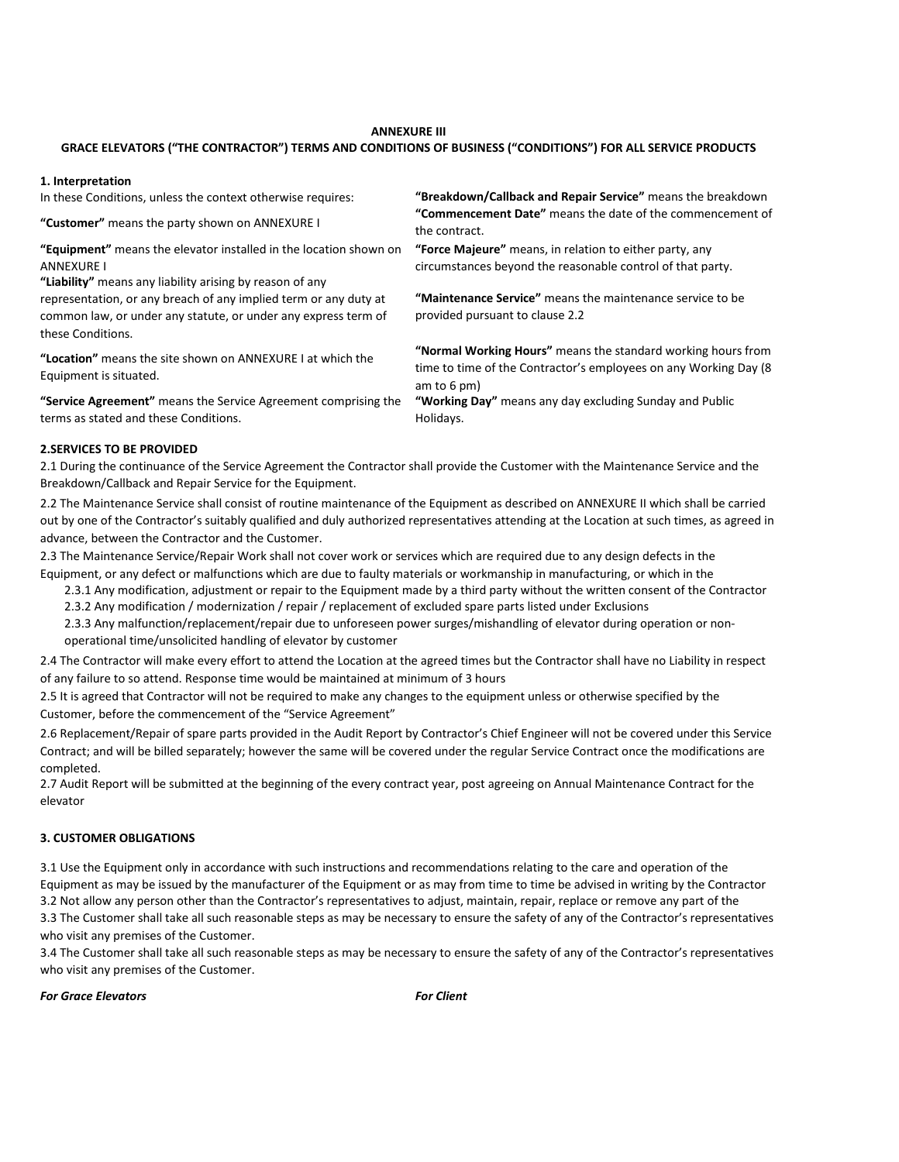#### **ANNEXURE III**

### **GRACE ELEVATORS ("THE CONTRACTOR") TERMS AND CONDITIONS OF BUSINESS ("CONDITIONS") FOR ALL SERVICE PRODUCTS**

#### **1. Interpretation**

In these Conditions, unless the context otherwise requires:

**"Customer"** means the party shown on ANNEXURE I

**"Equipment"** means the elevator installed in the location shown on ANNEXURE I

**"Liability"** means any liability arising by reason of any representation, or any breach of any implied term or any duty at common law, or under any statute, or under any express term of these Conditions.

**"Location"** means the site shown on ANNEXURE I at which the Equipment is situated.

**"Service Agreement"** means the Service Agreement comprising the terms as stated and these Conditions.

**"Breakdown/Callback and Repair Service"** means the breakdown **"Commencement Date"** means the date of the commencement of the contract.

**"Force Majeure"** means, in relation to either party, any circumstances beyond the reasonable control of that party.

**"Maintenance Service"** means the maintenance service to be provided pursuant to clause 2.2

**"Normal Working Hours"** means the standard working hours from time to time of the Contractor's employees on any Working Day (8 am to 6 pm)

**"Working Day"** means any day excluding Sunday and Public Holidays.

#### **2.SERVICES TO BE PROVIDED**

2.1 During the continuance of the Service Agreement the Contractor shall provide the Customer with the Maintenance Service and the Breakdown/Callback and Repair Service for the Equipment.

2.2 The Maintenance Service shall consist of routine maintenance of the Equipment as described on ANNEXURE II which shall be carried out by one of the Contractor's suitably qualified and duly authorized representatives attending at the Location at such times, as agreed in advance, between the Contractor and the Customer.

2.3 The Maintenance Service/Repair Work shall not cover work or services which are required due to any design defects in the Equipment, or any defect or malfunctions which are due to faulty materials or workmanship in manufacturing, or which in the

2.3.1 Any modification, adjustment or repair to the Equipment made by a third party without the written consent of the Contractor

2.3.2 Any modification / modernization / repair / replacement of excluded spare parts listed under Exclusions

2.3.3 Any malfunction/replacement/repair due to unforeseen power surges/mishandling of elevator during operation or nonoperational time/unsolicited handling of elevator by customer

2.4 The Contractor will make every effort to attend the Location at the agreed times but the Contractor shall have no Liability in respect of any failure to so attend. Response time would be maintained at minimum of 3 hours

2.5 It is agreed that Contractor will not be required to make any changes to the equipment unless or otherwise specified by the Customer, before the commencement of the "Service Agreement"

2.6 Replacement/Repair of spare parts provided in the Audit Report by Contractor's Chief Engineer will not be covered under this Service Contract; and will be billed separately; however the same will be covered under the regular Service Contract once the modifications are completed.

2.7 Audit Report will be submitted at the beginning of the every contract year, post agreeing on Annual Maintenance Contract for the elevator

#### **3. CUSTOMER OBLIGATIONS**

3.3 The Customer shall take all such reasonable steps as may be necessary to ensure the safety of any of the Contractor's representatives who visit any premises of the Customer. 3.2 Not allow any person other than the Contractor's representatives to adjust, maintain, repair, replace or remove any part of the 3.1 Use the Equipment only in accordance with such instructions and recommendations relating to the care and operation of the Equipment as may be issued by the manufacturer of the Equipment or as may from time to time be advised in writing by the Contractor

3.4 The Customer shall take all such reasonable steps as may be necessary to ensure the safety of any of the Contractor's representatives who visit any premises of the Customer.

*For Grace Elevators For Client*